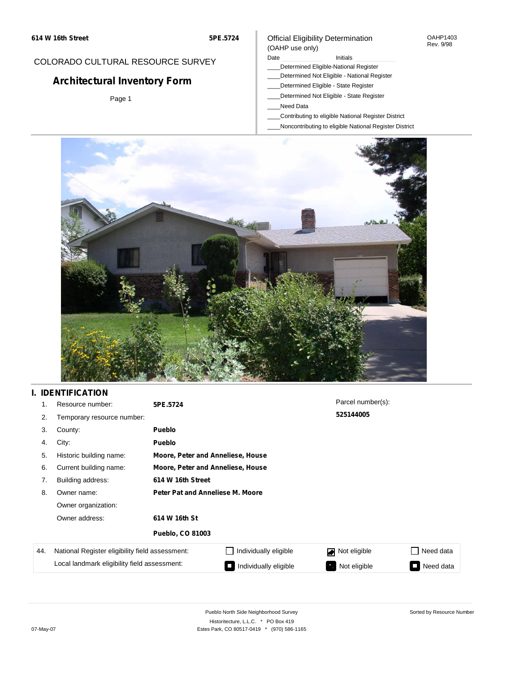#### OAHP1403 Rev. 9/98

## COLORADO CULTURAL RESOURCE SURVEY

# **Architectural Inventory Form**

Page 1

#### (OAHP use only) Date **Initials** Initials

Official Eligibility Determination

- \_\_\_\_Determined Eligible-National Register
- \_\_\_\_Determined Not Eligible National Register
- \_\_\_\_Determined Eligible State Register
- \_\_\_\_Determined Not Eligible State Register
- \_\_\_\_Need Data
- \_\_\_\_Contributing to eligible National Register District
- \_\_\_\_Noncontributing to eligible National Register District



## **I. IDENTIFICATION**

| 1.  | Resource number:                                | 5PE.5724                         |                                   | Parcel number(s): |           |  |  |  |
|-----|-------------------------------------------------|----------------------------------|-----------------------------------|-------------------|-----------|--|--|--|
| 2.  | Temporary resource number:                      |                                  |                                   | 525144005         |           |  |  |  |
| 3.  | County:                                         | <b>Pueblo</b>                    |                                   |                   |           |  |  |  |
| 4.  | City:                                           | <b>Pueblo</b>                    |                                   |                   |           |  |  |  |
| 5.  | Historic building name:                         |                                  | Moore, Peter and Anneliese, House |                   |           |  |  |  |
| 6.  | Current building name:                          |                                  | Moore, Peter and Anneliese, House |                   |           |  |  |  |
| 7.  | Building address:                               | 614 W 16th Street                |                                   |                   |           |  |  |  |
| 8.  | Owner name:                                     | Peter Pat and Anneliese M. Moore |                                   |                   |           |  |  |  |
|     | Owner organization:                             |                                  |                                   |                   |           |  |  |  |
|     | Owner address:                                  | 614 W 16th St                    |                                   |                   |           |  |  |  |
|     |                                                 | <b>Pueblo, CO 81003</b>          |                                   |                   |           |  |  |  |
| 44. | National Register eligibility field assessment: |                                  | Individually eligible             | Not eligible      | Need data |  |  |  |
|     | Local landmark eligibility field assessment:    |                                  | Individually eligible<br>IО       | Not eligible<br>ъ | Need data |  |  |  |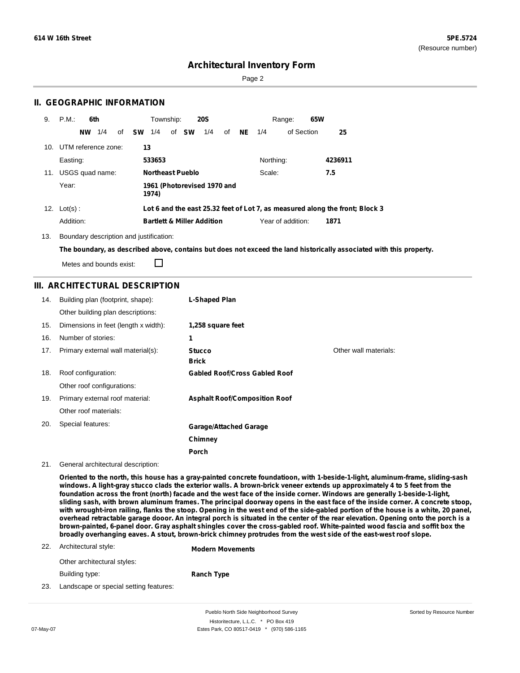Sorted by Resource Number

## **Architectural Inventory Form**

Page 2

### **II. GEOGRAPHIC INFORMATION**

| 9.  | P.M                     | 6th |    |           | Township: |                         | <b>20S</b>                            |    |      |           | 65W<br>Range:     |                                                                              |  |
|-----|-------------------------|-----|----|-----------|-----------|-------------------------|---------------------------------------|----|------|-----------|-------------------|------------------------------------------------------------------------------|--|
|     | NW.                     | 1/4 | of | <b>SW</b> | 1/4       | of <b>SW</b>            | 1/4                                   | of | NE . | 1/4       | of Section        | 25                                                                           |  |
|     | 10. UTM reference zone: |     |    | 13        |           |                         |                                       |    |      |           |                   |                                                                              |  |
|     | Easting:                |     |    |           | 533653    |                         |                                       |    |      | Northing: |                   | 4236911                                                                      |  |
| 11. | USGS quad name:         |     |    |           |           | <b>Northeast Pueblo</b> |                                       |    |      | Scale:    |                   | 7.5                                                                          |  |
|     | Year:                   |     |    |           | 1974)     |                         | 1961 (Photorevised 1970 and           |    |      |           |                   |                                                                              |  |
|     | 12. $Lot(s)$ :          |     |    |           |           |                         |                                       |    |      |           |                   | Lot 6 and the east 25.32 feet of Lot 7, as measured along the front; Block 3 |  |
|     | Addition:               |     |    |           |           |                         | <b>Bartlett &amp; Miller Addition</b> |    |      |           | Year of addition: | 1871                                                                         |  |

13. Boundary description and justification:

The boundary, as described above, contains but does not exceed the land historically associated with this property.

Metes and bounds exist:

 $\Box$ 

#### **III. ARCHITECTURAL DESCRIPTION**

| 14. | Building plan (footprint, shape):    | L-Shaped Plan                        |                       |
|-----|--------------------------------------|--------------------------------------|-----------------------|
|     | Other building plan descriptions:    |                                      |                       |
| 15. | Dimensions in feet (length x width): | 1,258 square feet                    |                       |
| 16. | Number of stories:                   | 1                                    |                       |
| 17. | Primary external wall material(s):   | <b>Stucco</b>                        | Other wall materials: |
|     |                                      | <b>Brick</b>                         |                       |
| 18. | Roof configuration:                  | <b>Gabled Roof/Cross Gabled Roof</b> |                       |
|     | Other roof configurations:           |                                      |                       |
| 19. | Primary external roof material:      | <b>Asphalt Roof/Composition Roof</b> |                       |
|     | Other roof materials:                |                                      |                       |
| 20. | Special features:                    | <b>Garage/Attached Garage</b>        |                       |
|     |                                      | Chimney                              |                       |
|     |                                      | Porch                                |                       |

21. General architectural description:

Oriented to the north, this house has a gray-painted concrete foundatioon, with 1-beside-1-light, aluminum-frame, sliding-sash windows. A light-gray stucco clads the exterior walls. A brown-brick veneer extends up approximately 4 to 5 feet from the foundation across the front (north) facade and the west face of the inside corner. Windows are generally 1-beside-1-light, sliding sash, with brown aluminum frames. The principal doorway opens in the east face of the inside corner. A concrete stoop, with wrought-iron railing, flanks the stoop. Opening in the west end of the side-gabled portion of the house is a white, 20 panel, overhead retractable garage dooor. An integral porch is situated in the center of the rear elevation. Opening onto the porch is a brown-painted, 6-panel door. Gray asphalt shingles cover the cross-gabled roof. White-painted wood fascia and soffit box the broadly overhanging eaves. A stout, brown-brick chimney protrudes from the west side of the east-west roof slope.

#### 22. Architectural style: **Modern Movements**

Other architectural styles:

Building type:

**Ranch Type**

23. Landscape or special setting features:

Pueblo North Side Neighborhood Survey Historitecture, L.L.C. \* PO Box 419 07-May-07 **Estes Park, CO 80517-0419** \* (970) 586-1165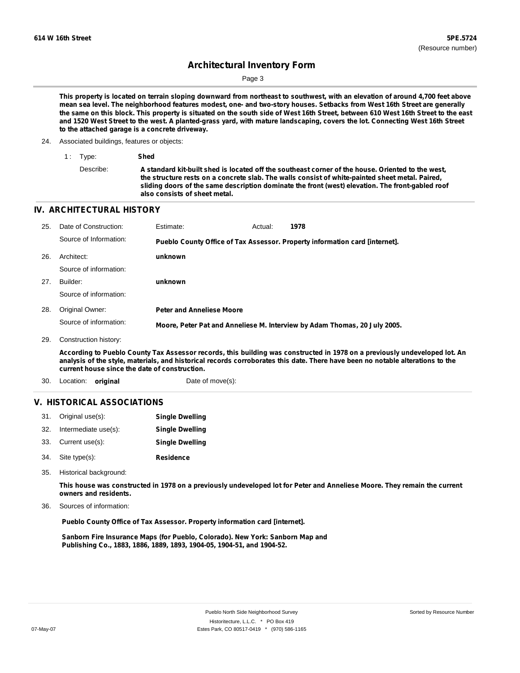Page 3

This property is located on terrain sloping downward from northeast to southwest, with an elevation of around 4,700 feet above mean sea level. The neighborhood features modest, one- and two-story houses. Setbacks from West 16th Street are generally the same on this block. This property is situated on the south side of West 16th Street, between 610 West 16th Street to the east and 1520 West Street to the west. A planted-grass yard, with mature landscaping, covers the lot. Connecting West 16th Street **to the attached garage is a concrete driveway.**

24. Associated buildings, features or objects:

| 1: Type:  | Shed                                                                                                                                                                                                                                                                                                                                      |
|-----------|-------------------------------------------------------------------------------------------------------------------------------------------------------------------------------------------------------------------------------------------------------------------------------------------------------------------------------------------|
| Describe: | A standard kit-built shed is located off the southeast corner of the house. Oriented to the west,<br>the structure rests on a concrete slab. The walls consist of white-painted sheet metal. Paired,<br>sliding doors of the same description dominate the front (west) elevation. The front-gabled roof<br>also consists of sheet metal. |

#### **IV. ARCHITECTURAL HISTORY**

| 25. | Date of Construction:  | Estimate:                        | Actual: | 1978                                                                        |
|-----|------------------------|----------------------------------|---------|-----------------------------------------------------------------------------|
|     | Source of Information: |                                  |         | Pueblo County Office of Tax Assessor. Property information card [internet]. |
| 26. | Architect:             | unknown                          |         |                                                                             |
|     | Source of information: |                                  |         |                                                                             |
| 27. | Builder:               | unknown                          |         |                                                                             |
|     | Source of information: |                                  |         |                                                                             |
| 28. | Original Owner:        | <b>Peter and Anneliese Moore</b> |         |                                                                             |
|     | Source of information: |                                  |         | Moore, Peter Pat and Anneliese M. Interview by Adam Thomas, 20 July 2005.   |
| 29. | Construction history:  |                                  |         |                                                                             |

According to Pueblo County Tax Assessor records, this building was constructed in 1978 on a previously undeveloped lot. An analysis of the style, materials, and historical records corroborates this date. There have been no notable alterations to the **current house since the date of construction.**

30. Location: **original** Date of move(s):

#### **V. HISTORICAL ASSOCIATIONS**

|     | 31. Original use(s): | <b>Single Dwelling</b> |
|-----|----------------------|------------------------|
| 32. | Intermediate use(s): | <b>Single Dwelling</b> |
|     | 33. Current use(s):  | <b>Single Dwelling</b> |
|     | 34. Site type(s):    | <b>Residence</b>       |

35. Historical background:

This house was constructed in 1978 on a previously undeveloped lot for Peter and Anneliese Moore. They remain the current **owners and residents.**

Sources of information: 36.

**Pueblo County Office of Tax Assessor. Property information card [internet].**

**Sanborn Fire Insurance Maps (for Pueblo, Colorado). New York: Sanborn Map and Publishing Co., 1883, 1886, 1889, 1893, 1904-05, 1904-51, and 1904-52.**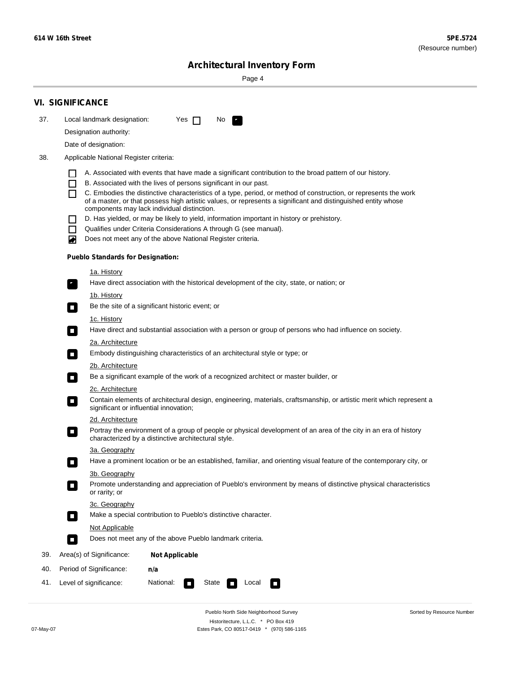Sorted by Resource Number

# **Architectural Inventory Form**

Page 4

|     | <b>VI. SIGNIFICANCE</b>                                                                                                                                                                                                                |  |
|-----|----------------------------------------------------------------------------------------------------------------------------------------------------------------------------------------------------------------------------------------|--|
| 37. | Local landmark designation:<br>Yes $\Box$<br>No<br>и,                                                                                                                                                                                  |  |
|     | Designation authority:                                                                                                                                                                                                                 |  |
|     | Date of designation:                                                                                                                                                                                                                   |  |
| 38. | Applicable National Register criteria:                                                                                                                                                                                                 |  |
|     | A. Associated with events that have made a significant contribution to the broad pattern of our history.                                                                                                                               |  |
|     | B. Associated with the lives of persons significant in our past.<br>L                                                                                                                                                                  |  |
|     | C. Embodies the distinctive characteristics of a type, period, or method of construction, or represents the work<br>П<br>of a master, or that possess high artistic values, or represents a significant and distinguished entity whose |  |
|     | components may lack individual distinction.<br>D. Has yielded, or may be likely to yield, information important in history or prehistory.                                                                                              |  |
|     | Qualifies under Criteria Considerations A through G (see manual).<br>ΙI                                                                                                                                                                |  |
|     | Does not meet any of the above National Register criteria.<br>▰                                                                                                                                                                        |  |
|     | <b>Pueblo Standards for Designation:</b>                                                                                                                                                                                               |  |
|     | <u>1a. History</u>                                                                                                                                                                                                                     |  |
|     | Have direct association with the historical development of the city, state, or nation; or<br>У,                                                                                                                                        |  |
|     | 1b. History<br>Be the site of a significant historic event; or<br>$\mathcal{L}_{\mathcal{A}}$                                                                                                                                          |  |
|     | 1c. History                                                                                                                                                                                                                            |  |
|     | Have direct and substantial association with a person or group of persons who had influence on society.<br>$\mathcal{L}_{\mathcal{A}}$                                                                                                 |  |
|     | 2a. Architecture<br>Embody distinguishing characteristics of an architectural style or type; or<br>$\mathcal{L}_{\mathcal{A}}$                                                                                                         |  |
|     | 2b. Architecture                                                                                                                                                                                                                       |  |
|     | Be a significant example of the work of a recognized architect or master builder, or<br>$\mathcal{L}_{\mathcal{A}}$                                                                                                                    |  |
|     | <b>2c. Architecture</b>                                                                                                                                                                                                                |  |
|     | Contain elements of architectural design, engineering, materials, craftsmanship, or artistic merit which represent a<br>$\mathcal{L}_{\mathcal{A}}$<br>significant or influential innovation;                                          |  |
|     | 2d. Architecture                                                                                                                                                                                                                       |  |
|     | Portray the environment of a group of people or physical development of an area of the city in an era of history<br>$\Box$<br>characterized by a distinctive architectural style.                                                      |  |
|     | 3a. Geography                                                                                                                                                                                                                          |  |
|     | Have a prominent location or be an established, familiar, and orienting visual feature of the contemporary city, or<br>П                                                                                                               |  |
|     | 3b. Geography<br>Promote understanding and appreciation of Pueblo's environment by means of distinctive physical characteristics<br>$\sim$<br>or rarity; or                                                                            |  |
|     | 3c. Geography                                                                                                                                                                                                                          |  |
|     | Make a special contribution to Pueblo's distinctive character.<br>$\mathcal{L}_{\mathcal{A}}$                                                                                                                                          |  |
|     | Not Applicable                                                                                                                                                                                                                         |  |
|     | Does not meet any of the above Pueblo landmark criteria.<br>$\overline{\phantom{a}}$                                                                                                                                                   |  |
| 39. | Area(s) of Significance:<br><b>Not Applicable</b>                                                                                                                                                                                      |  |
| 40. | Period of Significance:<br>n/a                                                                                                                                                                                                         |  |
| 41. | National:<br>State<br>Level of significance:<br>Local<br>O<br>$\sim$<br>п                                                                                                                                                              |  |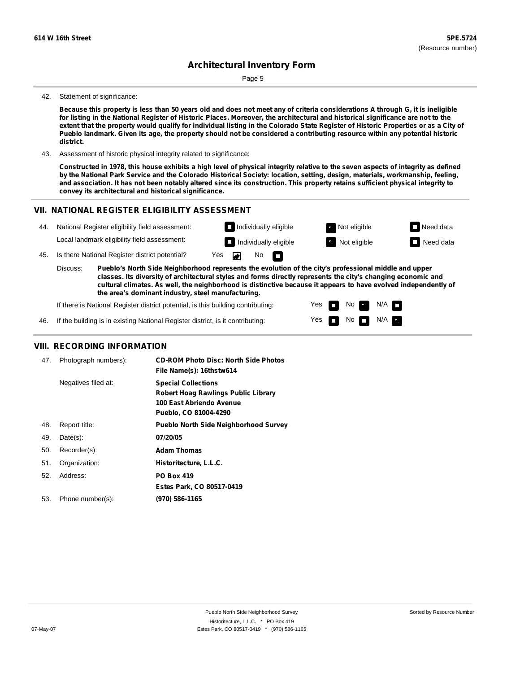Page 5

#### 42. Statement of significance:

Because this property is less than 50 years old and does not meet any of criteria considerations A through G, it is ineligible for listing in the National Register of Historic Places. Moreover, the architectural and historical significance are not to the extent that the property would qualify for individual listing in the Colorado State Register of Historic Properties or as a City of Pueblo landmark. Given its age, the property should not be considered a contributing resource within any potential historic **district.**

43. Assessment of historic physical integrity related to significance:

Constructed in 1978, this house exhibits a high level of physical integrity relative to the seven aspects of integrity as defined by the National Park Service and the Colorado Historical Society: location, setting, design, materials, workmanship, feeling, and association. It has not been notably altered since its construction. This property retains sufficient physical integrity to **convey its architectural and historical significance.**

> Yes Yes

П

No

No  $\blacksquare$  N/A

 $N/A$ 

#### **VII. NATIONAL REGISTER ELIGIBILITY ASSESSMENT Individually eligible Not eligible** Not eligible **Need data** 44. National Register eligibility field assessment: Local landmark eligibility field assessment: **I** Individually eligible **Not** Extract Not eligible **Need data** 45. Is there National Register district potential? Yes ◚ No П **Pueblo's North Side Neighborhood represents the evolution of the city's professional middle and upper** Discuss: **classes. Its diversity of architectural styles and forms directly represents the city's changing economic and cultural climates. As well, the neighborhood is distinctive because it appears to have evolved independently of the area's dominant industry, steel manufacturing.**

If there is National Register district potential, is this building contributing:

If the building is in existing National Register district, is it contributing: 46.

#### **VIII. RECORDING INFORMATION**

| 47. | Photograph numbers): | <b>CD-ROM Photo Disc: North Side Photos</b><br>File Name(s): 16thstw614                                                       |
|-----|----------------------|-------------------------------------------------------------------------------------------------------------------------------|
|     | Negatives filed at:  | <b>Special Collections</b><br><b>Robert Hoag Rawlings Public Library</b><br>100 East Abriendo Avenue<br>Pueblo, CO 81004-4290 |
| 48. | Report title:        | <b>Pueblo North Side Neighborhood Survey</b>                                                                                  |
| 49. | $Date(s)$ :          | 07/20/05                                                                                                                      |
| 50. | Recorder(s):         | <b>Adam Thomas</b>                                                                                                            |
| 51. | Organization:        | Historitecture, L.L.C.                                                                                                        |
| 52. | Address:             | <b>PO Box 419</b>                                                                                                             |
|     |                      | Estes Park, CO 80517-0419                                                                                                     |
| 53. | Phone number(s):     | (970) 586-1165                                                                                                                |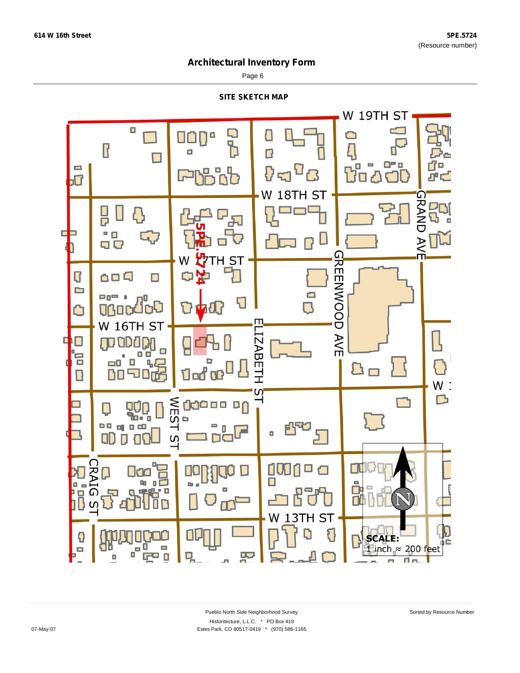Page 6